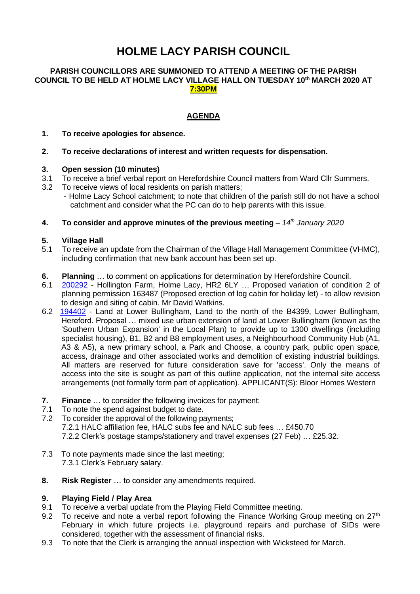# **HOLME LACY PARISH COUNCIL**

#### **PARISH COUNCILLORS ARE SUMMONED TO ATTEND A MEETING OF THE PARISH COUNCIL TO BE HELD AT HOLME LACY VILLAGE HALL ON TUESDAY 10 th MARCH 2020 AT 7:30PM**

# **AGENDA**

#### **1. To receive apologies for absence.**

#### **2. To receive declarations of interest and written requests for dispensation.**

# **3. Open session (10 minutes)**

- 3.1 To receive a brief verbal report on Herefordshire Council matters from Ward Cllr Summers.
- 3.2 To receive views of local residents on parish matters;
	- Holme Lacy School catchment; to note that children of the parish still do not have a school catchment and consider what the PC can do to help parents with this issue.

#### **4. To consider and approve minutes of the previous meeting** – *14th January 2020*

#### **5. Village Hall**

- 5.1 To receive an update from the Chairman of the Village Hall Management Committee (VHMC), including confirmation that new bank account has been set up.
- **6. Planning** ... to comment on applications for determination by Herefordshire Council.<br>**6.1 200292 Hollington Farm. Holme Lacy. HR2 6LY** ... Proposed variation of condition
- [200292](https://www.herefordshire.gov.uk/info/200142/planning_services/planning_application_search/details?id=200292&search=200292) Hollington Farm, Holme Lacy, HR2 6LY ... Proposed variation of condition 2 of planning permission 163487 (Proposed erection of log cabin for holiday let) - to allow revision to design and siting of cabin. Mr David Watkins.
- 6.2 [194402](https://www.herefordshire.gov.uk/info/200142/planning_services/planning_application_search/details?id=194402&search=194402) Land at Lower Bullingham, Land to the north of the B4399, Lower Bullingham, Hereford. Proposal … mixed use urban extension of land at Lower Bullingham (known as the 'Southern Urban Expansion' in the Local Plan) to provide up to 1300 dwellings (including specialist housing), B1, B2 and B8 employment uses, a Neighbourhood Community Hub (A1, A3 & A5), a new primary school, a Park and Choose, a country park, public open space, access, drainage and other associated works and demolition of existing industrial buildings. All matters are reserved for future consideration save for 'access'. Only the means of access into the site is sought as part of this outline application, not the internal site access arrangements (not formally form part of application). APPLICANT(S): Bloor Homes Western
- **7. Finance** … to consider the following invoices for payment:
- 7.1 To note the spend against budget to date.
- 7.2 To consider the approval of the following payments; 7.2.1 HALC affiliation fee, HALC subs fee and NALC sub fees … £450.70 7.2.2 Clerk's postage stamps/stationery and travel expenses (27 Feb) … £25.32.
- 7.3 To note payments made since the last meeting; 7.3.1 Clerk's February salary.
- **8. Risk Register** … to consider any amendments required.

#### **9. Playing Field / Play Area**

- 9.1 To receive a verbal update from the Playing Field Committee meeting.
- 9.2 To receive and note a verbal report following the Finance Working Group meeting on  $27<sup>th</sup>$ February in which future projects i.e. playground repairs and purchase of SIDs were considered, together with the assessment of financial risks.
- 9.3 To note that the Clerk is arranging the annual inspection with Wicksteed for March.